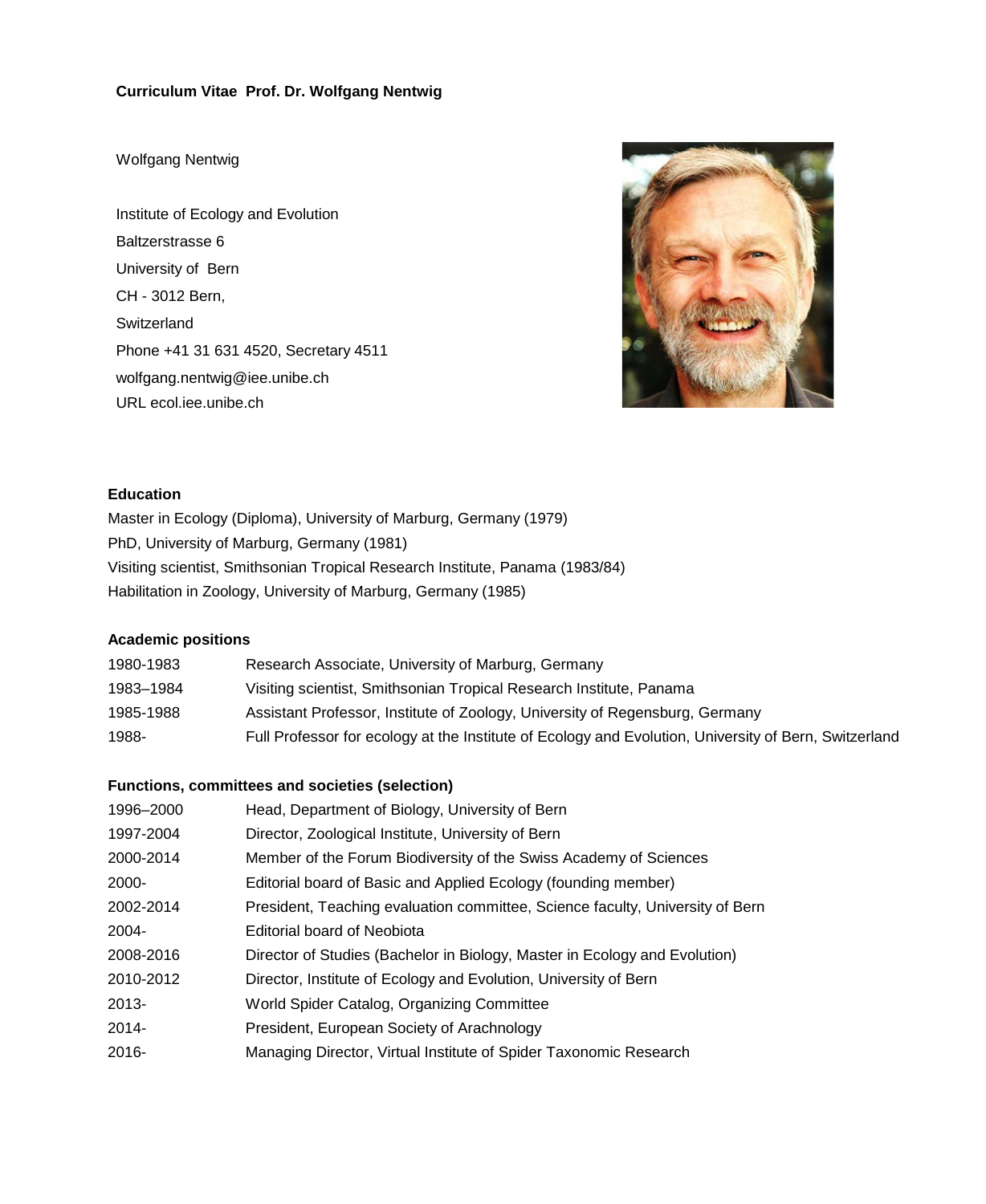## **Curriculum Vitae Prof. Dr. Wolfgang Nentwig**

### Wolfgang Nentwig

Institute of Ecology and Evolution Baltzerstrasse 6 University of Bern CH - 3012 Bern, **Switzerland** Phone +41 31 631 4520, Secretary 4511 wolfgang.nentwig@iee.unibe.ch URL ecol.iee.unibe.ch



### **Education**

Master in Ecology (Diploma), University of Marburg, Germany (1979) PhD, University of Marburg, Germany (1981) Visiting scientist, Smithsonian Tropical Research Institute, Panama (1983/84) Habilitation in Zoology, University of Marburg, Germany (1985)

# **Academic positions**

| 1980-1983 | Research Associate, University of Marburg, Germany                                                    |
|-----------|-------------------------------------------------------------------------------------------------------|
| 1983-1984 | Visiting scientist, Smithsonian Tropical Research Institute, Panama                                   |
| 1985-1988 | Assistant Professor, Institute of Zoology, University of Regensburg, Germany                          |
| 1988-     | Full Professor for ecology at the Institute of Ecology and Evolution, University of Bern, Switzerland |

# **Functions, committees and societies (selection)**

| 1996-2000 | Head, Department of Biology, University of Bern                               |  |  |
|-----------|-------------------------------------------------------------------------------|--|--|
| 1997-2004 | Director, Zoological Institute, University of Bern                            |  |  |
| 2000-2014 | Member of the Forum Biodiversity of the Swiss Academy of Sciences             |  |  |
| 2000-     | Editorial board of Basic and Applied Ecology (founding member)                |  |  |
| 2002-2014 | President, Teaching evaluation committee, Science faculty, University of Bern |  |  |
| 2004-     | Editorial board of Neobiota                                                   |  |  |
| 2008-2016 | Director of Studies (Bachelor in Biology, Master in Ecology and Evolution)    |  |  |
| 2010-2012 | Director, Institute of Ecology and Evolution, University of Bern              |  |  |
| 2013-     | World Spider Catalog, Organizing Committee                                    |  |  |
| 2014-     | President, European Society of Arachnology                                    |  |  |
| 2016-     | Managing Director, Virtual Institute of Spider Taxonomic Research             |  |  |